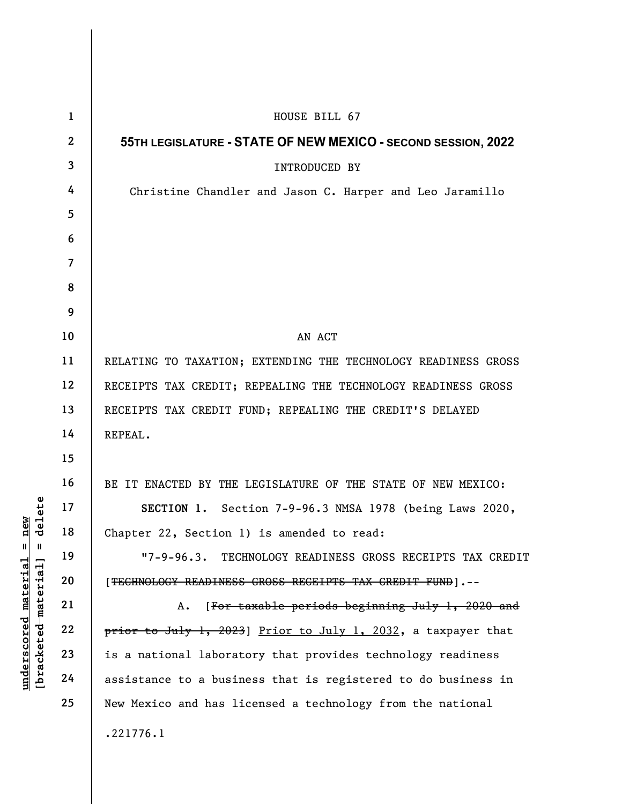| delete<br>new                              | $\mathbf{1}$    | HOUSE BILL 67                                                      |
|--------------------------------------------|-----------------|--------------------------------------------------------------------|
|                                            | $\mathbf{2}$    | 55TH LEGISLATURE - STATE OF NEW MEXICO - SECOND SESSION, 2022      |
|                                            | $\mathbf{3}$    | <b>INTRODUCED BY</b>                                               |
|                                            | 4               | Christine Chandler and Jason C. Harper and Leo Jaramillo           |
|                                            | $5\overline{)}$ |                                                                    |
|                                            | 6               |                                                                    |
|                                            | $\overline{7}$  |                                                                    |
|                                            | 8               |                                                                    |
|                                            | 9               |                                                                    |
|                                            | 10              | AN ACT                                                             |
|                                            | 11              | RELATING TO TAXATION; EXTENDING THE TECHNOLOGY READINESS GROSS     |
|                                            | 12              | RECEIPTS TAX CREDIT; REPEALING THE TECHNOLOGY READINESS GROSS      |
|                                            | 13              | RECEIPTS TAX CREDIT FUND; REPEALING THE CREDIT'S DELAYED           |
|                                            | 14              | REPEAL.                                                            |
|                                            | 15              |                                                                    |
|                                            | 16              | BE IT ENACTED BY THE LEGISLATURE OF THE STATE OF NEW MEXICO:       |
|                                            | 17              | SECTION 1. Section 7-9-96.3 NMSA 1978 (being Laws 2020,            |
|                                            | 18              | Chapter 22, Section 1) is amended to read:                         |
| $\blacksquare$<br>Ш                        | 19              | $"7 - 9 - 96.3.$<br>TECHNOLOGY READINESS GROSS RECEIPTS TAX CREDIT |
| <u>material</u>                            | 20              | [TECHNOLOGY READINESS GROSS RECEIPTS TAX CREDIT FUND].--           |
|                                            | 21              | [For taxable periods beginning July 1, 2020 and<br>Α.              |
| [bracketed material]<br><u>underscored</u> | 22              | prior to July 1, 2023) Prior to July 1, 2032, a taxpayer that      |
|                                            | 23              | is a national laboratory that provides technology readiness        |
|                                            | 24              | assistance to a business that is registered to do business in      |
|                                            | 25              | New Mexico and has licensed a technology from the national         |
|                                            |                 | .221776.1                                                          |
|                                            |                 |                                                                    |

 $\overline{\phantom{a}}$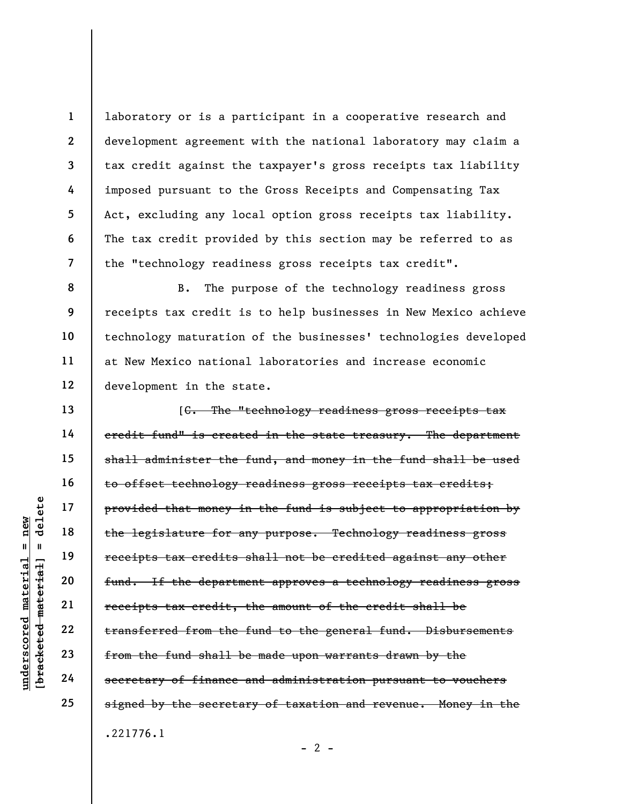laboratory or is a participant in a cooperative research and development agreement with the national laboratory may claim a tax credit against the taxpayer's gross receipts tax liability imposed pursuant to the Gross Receipts and Compensating Tax Act, excluding any local option gross receipts tax liability. The tax credit provided by this section may be referred to as the "technology readiness gross receipts tax credit".

B. The purpose of the technology readiness gross receipts tax credit is to help businesses in New Mexico achieve technology maturation of the businesses' technologies developed at New Mexico national laboratories and increase economic development in the state.

understate money is<br>
and the legislature for a<br>
receipts tax credits<br>
receipts tax credits<br>
fund. If the department<br>
receipts tax credit,<br>
receipts tax credit,<br>
receipts tax credit,<br>
receipts tax credit,<br>
from the fund sha [C. The "technology readiness gross receipts tax credit fund" is created in the state treasury. The department shall administer the fund, and money in the fund shall be used to offset technology readiness gross receipts tax credits; provided that money in the fund is subject to appropriation by the legislature for any purpose. Technology readiness gross receipts tax credits shall not be credited against any other fund. If the department approves a technology readiness gross receipts tax credit, the amount of the credit shall be transferred from the fund to the general fund. Disbursements from the fund shall be made upon warrants drawn by the secretary of finance and administration pursuant to vouchers signed by the secretary of taxation and revenue. Money in the .221776.1

 $- 2 -$ 

1

2

3

4

5

6

7

8

9

10

11

12

13

14

15

16

17

18

19

20

21

22

23

24

25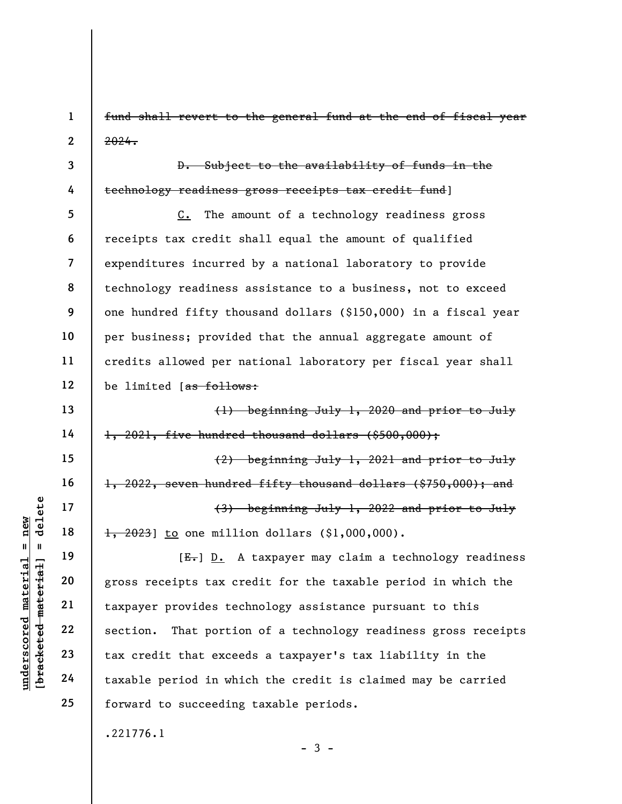1 2 fund shall revert to the general fund at the end of fiscal year 2024.

3 4

13

14

15

16

17

18

19

20

21

22

23

24

25

D. Subject to the availability of funds in the technology readiness gross receipts tax credit fund]

5 6 7 8 9 10 11 12 C. The amount of a technology readiness gross receipts tax credit shall equal the amount of qualified expenditures incurred by a national laboratory to provide technology readiness assistance to a business, not to exceed one hundred fifty thousand dollars (\$150,000) in a fiscal year per business; provided that the annual aggregate amount of credits allowed per national laboratory per fiscal year shall be limited [as follows:

(1) beginning July 1, 2020 and prior to July 1, 2021, five hundred thousand dollars (\$500,000); (2) beginning July 1, 2021 and prior to July 1, 2022, seven hundred fifty thousand dollars (\$750,000); and (3) beginning July 1, 2022 and prior to July  $\frac{1}{1}$ , 2023] to one million dollars (\$1,000,000).

understand material material of the same of the same of the same of the same of the same of the same of the same of the same of the same of the same of the same of the same of the same of the same of the same of the same o  $[E-]$  D. A taxpayer may claim a technology readiness gross receipts tax credit for the taxable period in which the taxpayer provides technology assistance pursuant to this section. That portion of a technology readiness gross receipts tax credit that exceeds a taxpayer's tax liability in the taxable period in which the credit is claimed may be carried forward to succeeding taxable periods.

 $-3 -$ 

.221776.1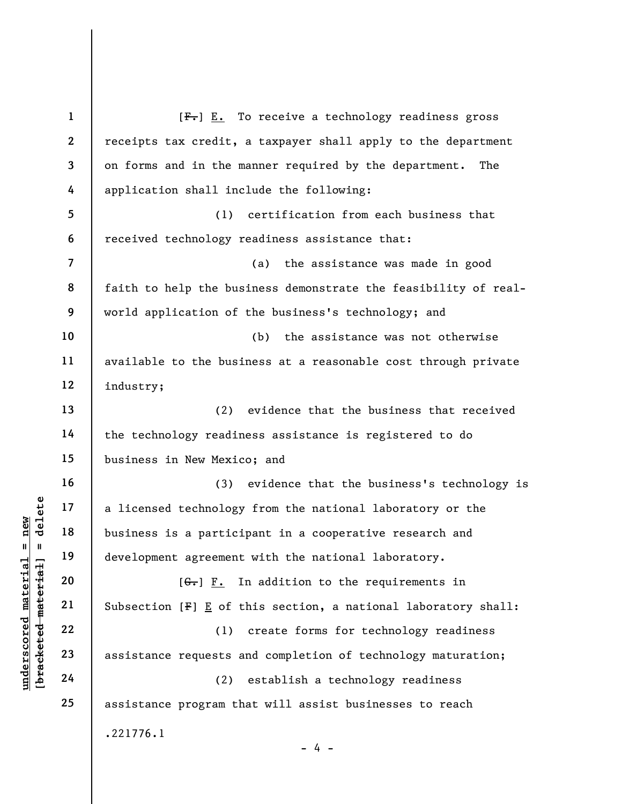|                     | $\mathbf{1}$ | $[Fz]$ $\underline{F}_{\bullet}$ To receive a technology readiness gross     |
|---------------------|--------------|------------------------------------------------------------------------------|
|                     | $\mathbf{2}$ | receipts tax credit, a taxpayer shall apply to the department                |
|                     | 3            | on forms and in the manner required by the department.<br>The                |
|                     | 4            | application shall include the following:                                     |
|                     | 5            | certification from each business that<br>(1)                                 |
|                     | 6            | received technology readiness assistance that:                               |
|                     | 7            | (a)<br>the assistance was made in good                                       |
|                     | 8            | faith to help the business demonstrate the feasibility of real-              |
|                     | 9            | world application of the business's technology; and                          |
|                     | 10           | (b)<br>the assistance was not otherwise                                      |
|                     | 11           | available to the business at a reasonable cost through private               |
|                     | 12           | industry;                                                                    |
|                     | 13           | evidence that the business that received<br>(2)                              |
|                     | 14           | the technology readiness assistance is registered to do                      |
|                     | 15           | business in New Mexico; and                                                  |
|                     | 16           | (3) evidence that the business's technology is                               |
| delete              | 17           | a licensed technology from the national laboratory or the                    |
| new                 | 18           | business is a participant in a cooperative research and                      |
| 11<br>H             | 19           | development agreement with the national laboratory.                          |
| material            | 20           | In addition to the requirements in<br>$[G_{\bullet}]$ $F_{\bullet}$          |
| [bracketed material | 21           | Subsection $[F] \underline{E}$ of this section, a national laboratory shall: |
| $underscore$        | 22           | create forms for technology readiness<br>(1)                                 |
|                     | 23           | assistance requests and completion of technology maturation;                 |
|                     | 24           | establish a technology readiness<br>(2)                                      |
|                     | 25           | assistance program that will assist businesses to reach                      |
|                     |              | .221776.1                                                                    |
|                     |              | - 4                                                                          |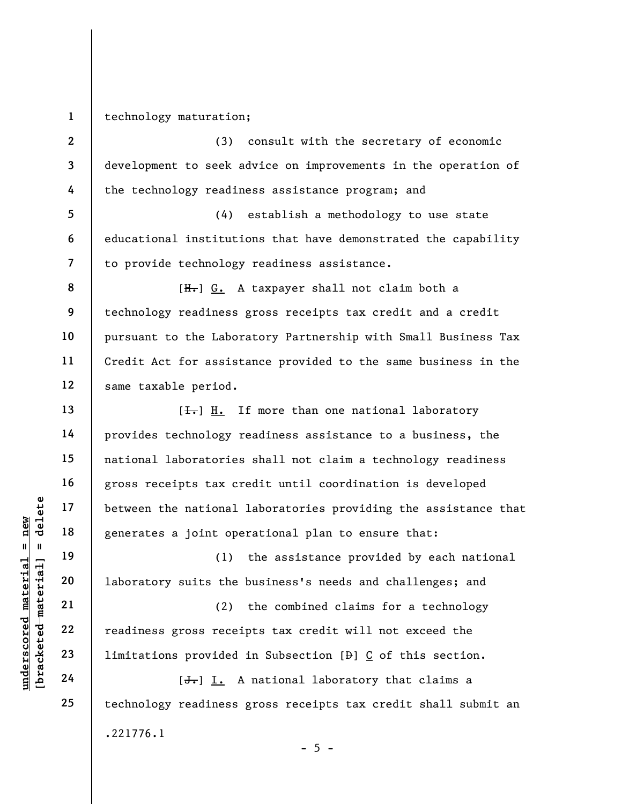1 technology maturation;

2

3

4

8

9

10

11

12

13

14

15

16

17

18

19

20

21

22

23

24

25

(3) consult with the secretary of economic development to seek advice on improvements in the operation of the technology readiness assistance program; and

5 6 7 (4) establish a methodology to use state educational institutions that have demonstrated the capability to provide technology readiness assistance.

[H.] G. A taxpayer shall not claim both a technology readiness gross receipts tax credit and a credit pursuant to the Laboratory Partnership with Small Business Tax Credit Act for assistance provided to the same business in the same taxable period.

 $[\frac{1}{\sqrt{1}}]$  H. If more than one national laboratory provides technology readiness assistance to a business, the national laboratories shall not claim a technology readiness gross receipts tax credit until coordination is developed between the national laboratories providing the assistance that generates a joint operational plan to ensure that:

(1) the assistance provided by each national laboratory suits the business's needs and challenges; and

underscored material speeches a joint ope<br>
understand the mational generates a joint ope<br>
understand the sense of the sense of the sense of the sense of the<br>
understand the sense of the sense of the sense of the sense of t (2) the combined claims for a technology readiness gross receipts tax credit will not exceed the limitations provided in Subsection [D] C of this section.

[<del>J.</del>] I. A national laboratory that claims a technology readiness gross receipts tax credit shall submit an .221776.1  $- 5 -$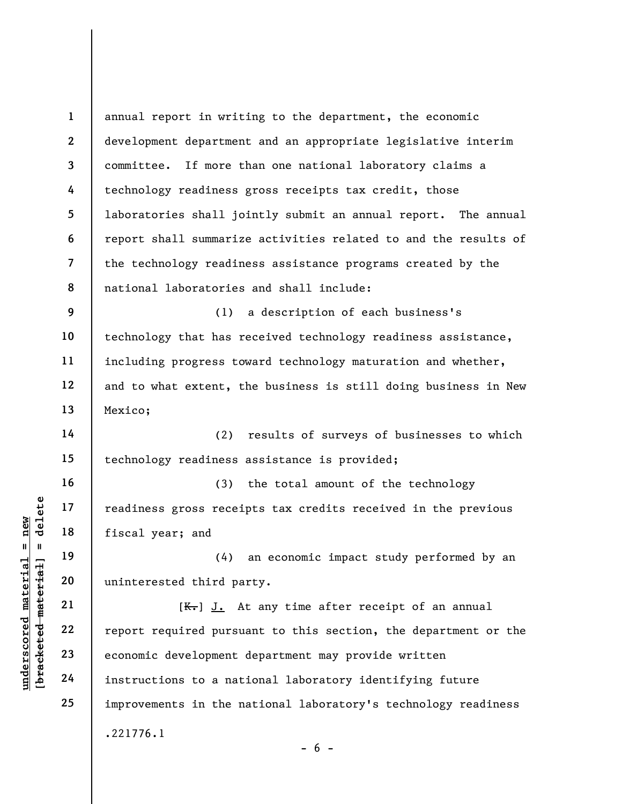underscored material = new [bracketed material] = delete 1 2 3 4 5 6 7 8 9 10 11 12 13 14 15 16 17 18 19 20 21 22 23 24 25 annual report in writing to the department, the economic development department and an appropriate legislative interim committee. If more than one national laboratory claims a technology readiness gross receipts tax credit, those laboratories shall jointly submit an annual report. The annual report shall summarize activities related to and the results of the technology readiness assistance programs created by the national laboratories and shall include: (1) a description of each business's technology that has received technology readiness assistance, including progress toward technology maturation and whether, and to what extent, the business is still doing business in New Mexico; (2) results of surveys of businesses to which technology readiness assistance is provided; (3) the total amount of the technology readiness gross receipts tax credits received in the previous fiscal year; and (4) an economic impact study performed by an uninterested third party.  $[K<sub>1</sub>]$  J. At any time after receipt of an annual report required pursuant to this section, the department or the economic development department may provide written instructions to a national laboratory identifying future improvements in the national laboratory's technology readiness .221776.1  $- 6 -$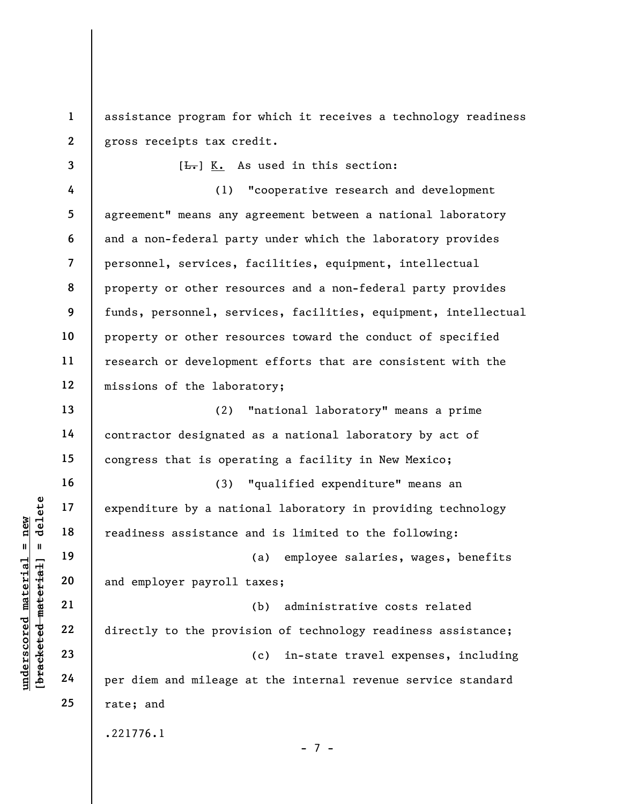1 2 assistance program for which it receives a technology readiness gross receipts tax credit.

3 4 5 6 7 8 9 10 11 12  $[\frac{L}{n}]$  K. As used in this section: (1) "cooperative research and development agreement" means any agreement between a national laboratory and a non-federal party under which the laboratory provides personnel, services, facilities, equipment, intellectual property or other resources and a non-federal party provides funds, personnel, services, facilities, equipment, intellectual property or other resources toward the conduct of specified research or development efforts that are consistent with the missions of the laboratory;

(2) "national laboratory" means a prime contractor designated as a national laboratory by act of congress that is operating a facility in New Mexico;

(3) "qualified expenditure" means an expenditure by a national laboratory in providing technology readiness assistance and is limited to the following:

(a) employee salaries, wages, benefits and employer payroll taxes;

under 17<br>
= 18<br>
= 18<br>
= 19<br>
= 19<br>
= 19<br>
= 19<br>
= 19<br>
= 19<br>
= 19<br>
= 19<br>
= 19<br>
= 19<br>
= 19<br>
= 19<br>
= 19<br>
= 19<br>
= 19<br>
= 19<br>
= 19<br>
= 19<br>
= 19<br>
= 19<br>
= 19<br>
= 19<br>
= 19<br>
= 19<br>
= 19<br>
= 19<br>
= 19<br>
= 19<br>
= 19<br>
= 19<br>
= 19<br>
= 19<br>
= 19<br>
= (b) administrative costs related directly to the provision of technology readiness assistance; (c) in-state travel expenses, including per diem and mileage at the internal revenue service standard rate; and

- 7 -

.221776.1

13

14

15

16

17

18

19

20

21

22

23

24

25